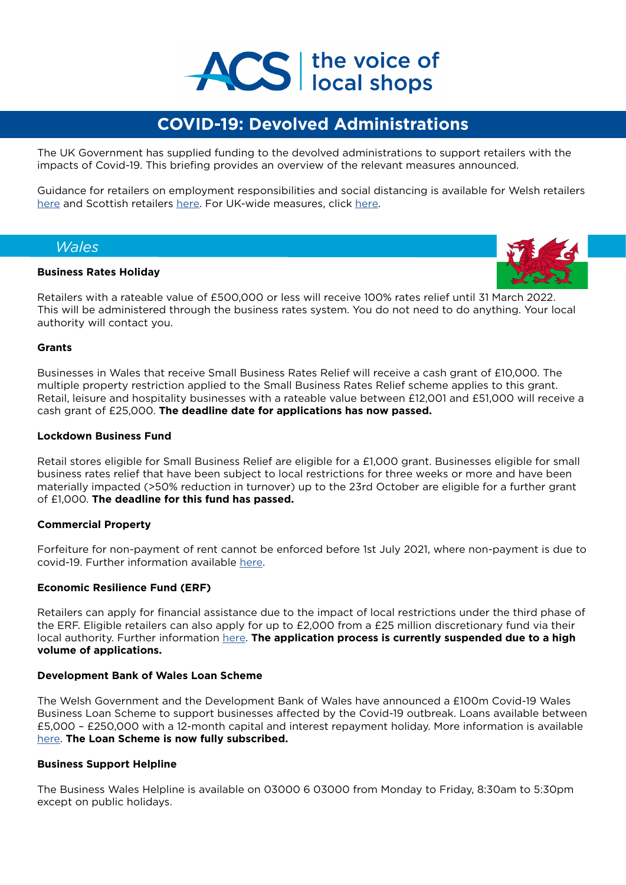

# **COVID-19: Devolved Administrations**

The UK Government has supplied funding to the devolved administrations to support retailers with the impacts of Covid-19. This briefing provides an overview of the relevant measures announced.

Guidance for retailers on employment responsibilities and social distancing is available for Welsh retailers [here](https://gov.wales/retailers-coronavirus-guidance) and Scottish retailers [here.](https://www.gov.scot/publications/coronavirus-covid-19-returning-to-work/) For UK-wide measures, click [here.](https://www.acs.org.uk/advice/covid-19-coronavirus
)

# *Wales*

# **Business Rates Holiday**



Retailers with a rateable value of £500,000 or less will receive 100% rates relief until 31 March 2022. This will be administered through the business rates system. You do not need to do anything. Your local authority will contact you.

# **Grants**

Businesses in Wales that receive Small Business Rates Relief will receive a cash grant of £10,000. The multiple property restriction applied to the Small Business Rates Relief scheme applies to this grant. Retail, leisure and hospitality businesses with a rateable value between £12,001 and £51,000 will receive a cash grant of £25,000. **The deadline date for applications has now passed.** 

# **Lockdown Business Fund**

Retail stores eligible for Small Business Relief are eligible for a £1,000 grant. Businesses eligible for small business rates relief that have been subject to local restrictions for three weeks or more and have been materially impacted (>50% reduction in turnover) up to the 23rd October are eligible for a further grant of £1,000. **The deadline for this fund has passed.**

# **Commercial Property**

Forfeiture for non-payment of rent cannot be enforced before 1st July 2021, where non-payment is due to covid-19. Further information available [here.](https://gov.wales/welsh-government-further-extends-measures-protect-businesses-impacted-coronavirus-eviction-until)

# **Economic Resilience Fund (ERF)**

Retailers can apply for financial assistance due to the impact of local restrictions under the third phase of the ERF. Eligible retailers can also apply for up to £2,000 from a £25 million discretionary fund via their local authority. Further information [here.](https://businesswales.gov.wales/coronavirus-advice/support/financial-support-and-grants) **The application process is currently suspended due to a high volume of applications.** 

#### **Development Bank of Wales Loan Scheme**

The Welsh Government and the Development Bank of Wales have announced a £100m Covid-19 Wales Business Loan Scheme to support businesses affected by the Covid-19 outbreak. Loans available between £5,000 – £250,000 with a 12-month capital and interest repayment holiday. More information is available [here](https://developmentbank.wales/covid-19-wales-business-loan-scheme). **The Loan Scheme is now fully subscribed.**

#### **Business Support Helpline**

The Business Wales Helpline is available on 03000 6 03000 from Monday to Friday, 8:30am to 5:30pm except on public holidays.